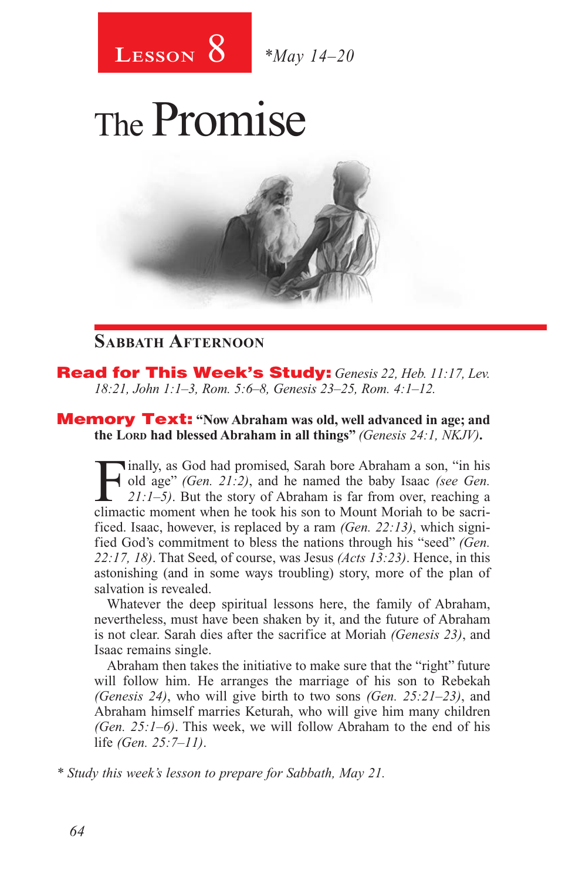

# The Promise



#### **Sabbath Afternoon**

Read for This Week's Study: *Genesis 22, Heb. 11:17, Lev. 18:21, John 1:1–3, Rom. 5:6–8, Genesis 23–25, Rom. 4:1–12.*

Memory Text: **"Now Abraham was old, well advanced in age; and the Lord had blessed Abraham in all things"** *(Genesis 24:1, NKJV)***.** 

Finally, as God had promised, Sarah bore Abraham a son, "in his old age" (*Gen. 21:2)*, and he named the baby Isaac *(see Gen. 21:1–5)*. But the story of Abraham is far from over, reaching a climatic moment when he took h old age" *(Gen. 21:2)*, and he named the baby Isaac *(see Gen. 21:1–5)*. But the story of Abraham is far from over, reaching a climactic moment when he took his son to Mount Moriah to be sacrificed. Isaac, however, is replaced by a ram *(Gen. 22:13)*, which signified God's commitment to bless the nations through his "seed" *(Gen. 22:17, 18)*. That Seed, of course, was Jesus *(Acts 13:23)*. Hence, in this astonishing (and in some ways troubling) story, more of the plan of salvation is revealed.

Whatever the deep spiritual lessons here, the family of Abraham, nevertheless, must have been shaken by it, and the future of Abraham is not clear. Sarah dies after the sacrifice at Moriah *(Genesis 23)*, and Isaac remains single.

Abraham then takes the initiative to make sure that the "right" future will follow him. He arranges the marriage of his son to Rebekah *(Genesis 24)*, who will give birth to two sons *(Gen. 25:21–23)*, and Abraham himself marries Keturah, who will give him many children *(Gen. 25:1–6)*. This week, we will follow Abraham to the end of his life *(Gen. 25:7–11)*.

*\* Study this week's lesson to prepare for Sabbath, May 21.*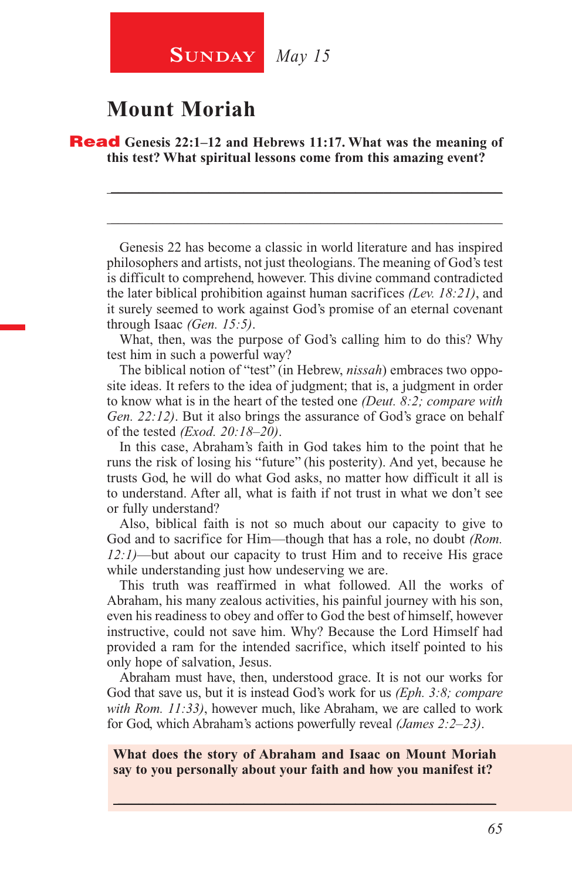#### **Mount Moriah**

Read **Genesis 22:1–12 and Hebrews 11:17. What was the meaning of this test? What spiritual lessons come from this amazing event?**

Genesis 22 has become a classic in world literature and has inspired philosophers and artists, not just theologians. The meaning of God's test is difficult to comprehend, however. This divine command contradicted the later biblical prohibition against human sacrifices *(Lev. 18:21)*, and it surely seemed to work against God's promise of an eternal covenant through Isaac *(Gen. 15:5)*.

\_\_\_\_\_\_\_\_\_\_\_\_\_\_\_\_\_\_\_\_\_\_\_\_\_\_\_\_\_\_\_\_\_\_\_\_\_\_\_\_\_\_\_\_\_\_\_\_\_\_\_\_\_\_\_\_

\_\_\_\_\_\_\_\_\_\_\_\_\_\_\_\_\_\_\_\_\_\_\_\_\_\_\_\_\_\_\_\_\_\_\_\_\_\_\_\_\_\_\_\_\_\_\_\_\_\_\_\_\_\_\_\_

What, then, was the purpose of God's calling him to do this? Why test him in such a powerful way?

The biblical notion of "test" (in Hebrew, *nissah*) embraces two opposite ideas. It refers to the idea of judgment; that is, a judgment in order to know what is in the heart of the tested one *(Deut. 8:2; compare with Gen. 22:12)*. But it also brings the assurance of God's grace on behalf of the tested *(Exod. 20:18–20)*.

In this case, Abraham's faith in God takes him to the point that he runs the risk of losing his "future" (his posterity). And yet, because he trusts God, he will do what God asks, no matter how difficult it all is to understand. After all, what is faith if not trust in what we don't see or fully understand?

Also, biblical faith is not so much about our capacity to give to God and to sacrifice for Him—though that has a role, no doubt *(Rom. 12:1)*—but about our capacity to trust Him and to receive His grace while understanding just how undeserving we are.

This truth was reaffirmed in what followed. All the works of Abraham, his many zealous activities, his painful journey with his son, even his readiness to obey and offer to God the best of himself, however instructive, could not save him. Why? Because the Lord Himself had provided a ram for the intended sacrifice, which itself pointed to his only hope of salvation, Jesus.

Abraham must have, then, understood grace. It is not our works for God that save us, but it is instead God's work for us *(Eph. 3:8; compare with Rom. 11:33)*, however much, like Abraham, we are called to work for God, which Abraham's actions powerfully reveal *(James 2:2–23)*.

**What does the story of Abraham and Isaac on Mount Moriah say to you personally about your faith and how you manifest it?**

 $\_$  , and the set of the set of the set of the set of the set of the set of the set of the set of the set of the set of the set of the set of the set of the set of the set of the set of the set of the set of the set of th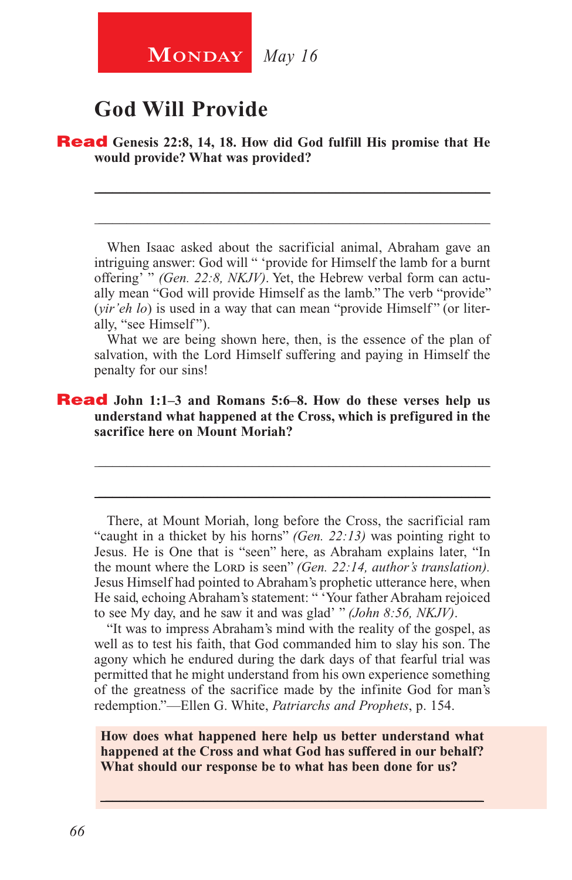### **God Will Provide**

#### Read **Genesis 22:8, 14, 18. How did God fulfill His promise that He would provide? What was provided?**

When Isaac asked about the sacrificial animal, Abraham gave an intriguing answer: God will " 'provide for Himself the lamb for a burnt offering' " *(Gen. 22:8, NKJV)*. Yet, the Hebrew verbal form can actually mean "God will provide Himself as the lamb." The verb "provide" (*vir'eh lo*) is used in a way that can mean "provide Himself" (or literally, "see Himself").

\_\_\_\_\_\_\_\_\_\_\_\_\_\_\_\_\_\_\_\_\_\_\_\_\_\_\_\_\_\_\_\_\_\_\_\_\_\_\_\_\_\_\_\_\_\_\_\_\_\_\_\_\_\_\_\_

\_\_\_\_\_\_\_\_\_\_\_\_\_\_\_\_\_\_\_\_\_\_\_\_\_\_\_\_\_\_\_\_\_\_\_\_\_\_\_\_\_\_\_\_\_\_\_\_\_\_\_\_\_\_\_\_

What we are being shown here, then, is the essence of the plan of salvation, with the Lord Himself suffering and paying in Himself the penalty for our sins!

\_\_\_\_\_\_\_\_\_\_\_\_\_\_\_\_\_\_\_\_\_\_\_\_\_\_\_\_\_\_\_\_\_\_\_\_\_\_\_\_\_\_\_\_\_\_\_\_\_\_\_\_\_\_\_\_

\_\_\_\_\_\_\_\_\_\_\_\_\_\_\_\_\_\_\_\_\_\_\_\_\_\_\_\_\_\_\_\_\_\_\_\_\_\_\_\_\_\_\_\_\_\_\_\_\_\_\_\_\_\_\_\_

#### Read **John 1:1–3 and Romans 5:6–8. How do these verses help us understand what happened at the Cross, which is prefigured in the sacrifice here on Mount Moriah?**

There, at Mount Moriah, long before the Cross, the sacrificial ram "caught in a thicket by his horns" *(Gen. 22:13)* was pointing right to Jesus. He is One that is "seen" here, as Abraham explains later, "In the mount where the LORD is seen" *(Gen. 22:14, author's translation)*. Jesus Himself had pointed to Abraham's prophetic utterance here, when He said, echoing Abraham's statement: " 'Your father Abraham rejoiced to see My day, and he saw it and was glad' " *(John 8:56, NKJV)*.

"It was to impress Abraham's mind with the reality of the gospel, as well as to test his faith, that God commanded him to slay his son. The agony which he endured during the dark days of that fearful trial was permitted that he might understand from his own experience something of the greatness of the sacrifice made by the infinite God for man's redemption."—Ellen G. White, *Patriarchs and Prophets*, p. 154.

**How does what happened here help us better understand what happened at the Cross and what God has suffered in our behalf? What should our response be to what has been done for us?**

\_\_\_\_\_\_\_\_\_\_\_\_\_\_\_\_\_\_\_\_\_\_\_\_\_\_\_\_\_\_\_\_\_\_\_\_\_\_\_\_\_\_\_\_\_\_\_\_\_\_\_\_\_\_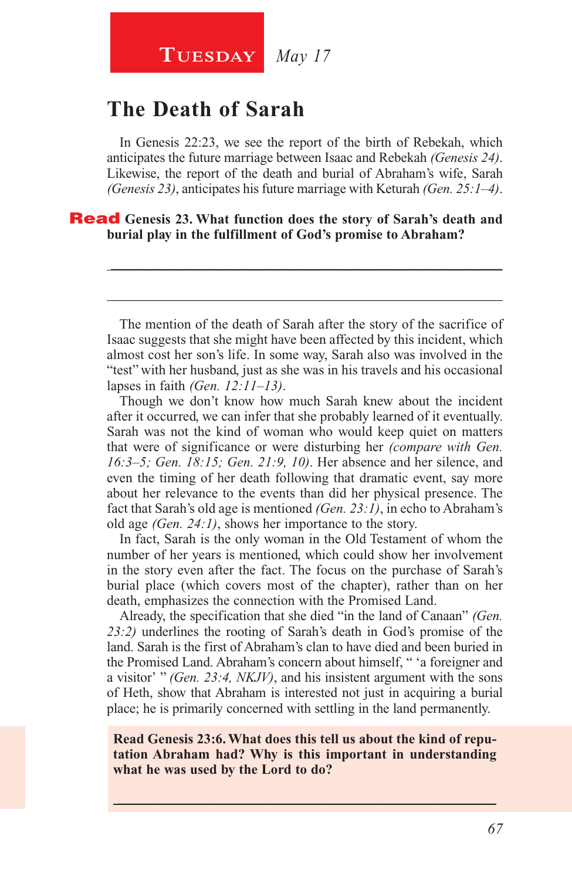#### **Tuesday** *May 17*

#### **The Death of Sarah**

In Genesis 22:23, we see the report of the birth of Rebekah, which anticipates the future marriage between Isaac and Rebekah *(Genesis 24)*. Likewise, the report of the death and burial of Abraham's wife, Sarah *(Genesis 23)*, anticipates his future marriage with Keturah *(Gen. 25:1–4)*.

#### Read **Genesis 23. What function does the story of Sarah's death and burial play in the fulfillment of God's promise to Abraham?**

The mention of the death of Sarah after the story of the sacrifice of Isaac suggests that she might have been affected by this incident, which almost cost her son's life. In some way, Sarah also was involved in the "test" with her husband, just as she was in his travels and his occasional lapses in faith *(Gen. 12:11–13)*.

\_\_\_\_\_\_\_\_\_\_\_\_\_\_\_\_\_\_\_\_\_\_\_\_\_\_\_\_\_\_\_\_\_\_\_\_\_\_\_\_\_\_\_\_\_\_\_\_\_\_\_\_\_\_\_\_

\_\_\_\_\_\_\_\_\_\_\_\_\_\_\_\_\_\_\_\_\_\_\_\_\_\_\_\_\_\_\_\_\_\_\_\_\_\_\_\_\_\_\_\_\_\_\_\_\_\_\_\_\_\_\_\_

Though we don't know how much Sarah knew about the incident after it occurred, we can infer that she probably learned of it eventually. Sarah was not the kind of woman who would keep quiet on matters that were of significance or were disturbing her *(compare with Gen. 16:3–5; Gen. 18:15; Gen. 21:9, 10)*. Her absence and her silence, and even the timing of her death following that dramatic event, say more about her relevance to the events than did her physical presence. The fact that Sarah's old age is mentioned *(Gen. 23:1)*, in echo to Abraham's old age *(Gen. 24:1)*, shows her importance to the story.

In fact, Sarah is the only woman in the Old Testament of whom the number of her years is mentioned, which could show her involvement in the story even after the fact. The focus on the purchase of Sarah's burial place (which covers most of the chapter), rather than on her death, emphasizes the connection with the Promised Land.

Already, the specification that she died "in the land of Canaan" *(Gen. 23:2)* underlines the rooting of Sarah's death in God's promise of the land. Sarah is the first of Abraham's clan to have died and been buried in the Promised Land. Abraham's concern about himself, " 'a foreigner and a visitor' " *(Gen. 23:4, NKJV)*, and his insistent argument with the sons of Heth, show that Abraham is interested not just in acquiring a burial place; he is primarily concerned with settling in the land permanently.

**Read Genesis 23:6. What does this tell us about the kind of reputation Abraham had? Why is this important in understanding what he was used by the Lord to do?** 

 $\_$  , and the set of the set of the set of the set of the set of the set of the set of the set of the set of the set of the set of the set of the set of the set of the set of the set of the set of the set of the set of th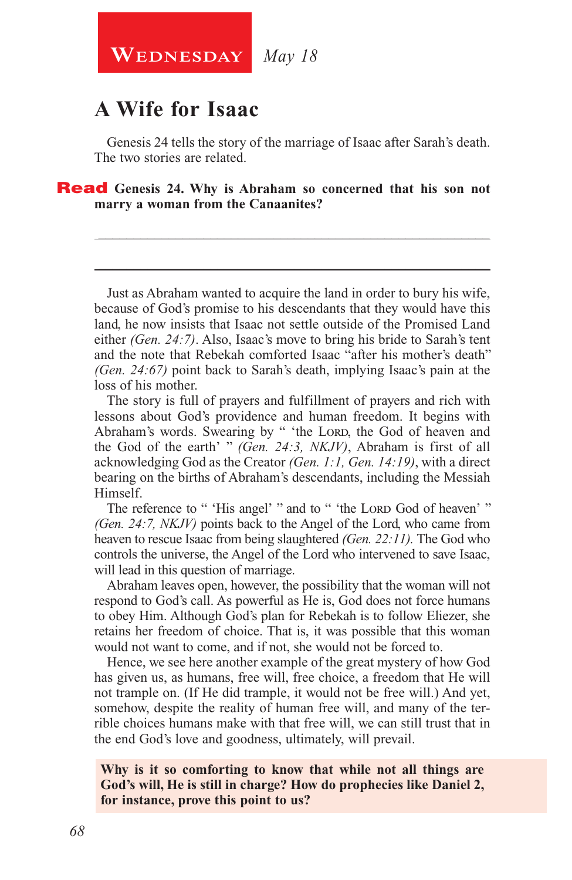**WEDNESDAY** May 18

#### **A Wife for Isaac**

Genesis 24 tells the story of the marriage of Isaac after Sarah's death. The two stories are related.

\_\_\_\_\_\_\_\_\_\_\_\_\_\_\_\_\_\_\_\_\_\_\_\_\_\_\_\_\_\_\_\_\_\_\_\_\_\_\_\_\_\_\_\_\_\_\_\_\_\_\_\_\_\_\_\_

\_\_\_\_\_\_\_\_\_\_\_\_\_\_\_\_\_\_\_\_\_\_\_\_\_\_\_\_\_\_\_\_\_\_\_\_\_\_\_\_\_\_\_\_\_\_\_\_\_\_\_\_\_\_\_\_

**Read** Genesis 24. Why is Abraham so concerned that his son not **marry a woman from the Canaanites?**

Just as Abraham wanted to acquire the land in order to bury his wife, because of God's promise to his descendants that they would have this land, he now insists that Isaac not settle outside of the Promised Land either *(Gen. 24:7)*. Also, Isaac's move to bring his bride to Sarah's tent and the note that Rebekah comforted Isaac "after his mother's death" *(Gen. 24:67)* point back to Sarah's death, implying Isaac's pain at the loss of his mother.

The story is full of prayers and fulfillment of prayers and rich with lessons about God's providence and human freedom. It begins with Abraham's words. Swearing by " 'the Lorp, the God of heaven and the God of the earth' " *(Gen. 24:3, NKJV)*, Abraham is first of all acknowledging God as the Creator *(Gen. 1:1, Gen. 14:19)*, with a direct bearing on the births of Abraham's descendants, including the Messiah Himself.

The reference to " 'His angel' " and to " 'the Lord God of heaven' " *(Gen. 24:7, NKJV)* points back to the Angel of the Lord, who came from heaven to rescue Isaac from being slaughtered *(Gen. 22:11).* The God who controls the universe, the Angel of the Lord who intervened to save Isaac, will lead in this question of marriage.

Abraham leaves open, however, the possibility that the woman will not respond to God's call. As powerful as He is, God does not force humans to obey Him. Although God's plan for Rebekah is to follow Eliezer, she retains her freedom of choice. That is, it was possible that this woman would not want to come, and if not, she would not be forced to.

Hence, we see here another example of the great mystery of how God has given us, as humans, free will, free choice, a freedom that He will not trample on. (If He did trample, it would not be free will.) And yet, somehow, despite the reality of human free will, and many of the terrible choices humans make with that free will, we can still trust that in the end God's love and goodness, ultimately, will prevail.

#### **Why is it so comforting to know that while not all things are God's will, He is still in charge? How do prophecies like Daniel 2, for instance, prove this point to us?**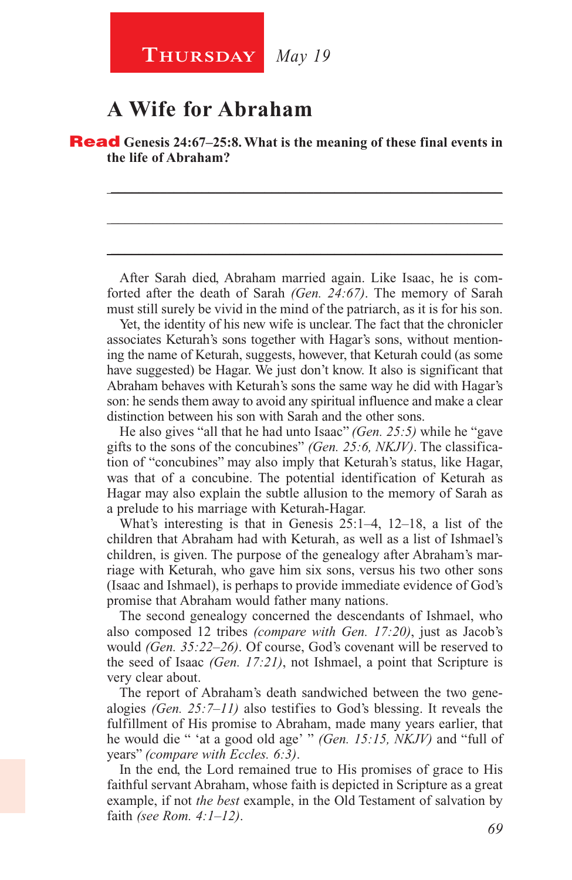#### **A Wife for Abraham**

Read **Genesis 24:67–25:8. What is the meaning of these final events in the life of Abraham?**

After Sarah died, Abraham married again. Like Isaac, he is comforted after the death of Sarah *(Gen. 24:67)*. The memory of Sarah must still surely be vivid in the mind of the patriarch, as it is for his son.

\_\_\_\_\_\_\_\_\_\_\_\_\_\_\_\_\_\_\_\_\_\_\_\_\_\_\_\_\_\_\_\_\_\_\_\_\_\_\_\_\_\_\_\_\_\_\_\_\_\_\_\_\_\_\_\_

\_\_\_\_\_\_\_\_\_\_\_\_\_\_\_\_\_\_\_\_\_\_\_\_\_\_\_\_\_\_\_\_\_\_\_\_\_\_\_\_\_\_\_\_\_\_\_\_\_\_\_\_\_\_\_\_

\_\_\_\_\_\_\_\_\_\_\_\_\_\_\_\_\_\_\_\_\_\_\_\_\_\_\_\_\_\_\_\_\_\_\_\_\_\_\_\_\_\_\_\_\_\_\_\_\_\_\_\_\_\_\_\_

Yet, the identity of his new wife is unclear. The fact that the chronicler associates Keturah's sons together with Hagar's sons, without mentioning the name of Keturah, suggests, however, that Keturah could (as some have suggested) be Hagar. We just don't know. It also is significant that Abraham behaves with Keturah's sons the same way he did with Hagar's son: he sends them away to avoid any spiritual influence and make a clear distinction between his son with Sarah and the other sons.

He also gives "all that he had unto Isaac" *(Gen. 25:5)* while he "gave gifts to the sons of the concubines" *(Gen. 25:6, NKJV)*. The classification of "concubines" may also imply that Keturah's status, like Hagar, was that of a concubine. The potential identification of Keturah as Hagar may also explain the subtle allusion to the memory of Sarah as a prelude to his marriage with Keturah-Hagar.

What's interesting is that in Genesis 25:1–4, 12–18, a list of the children that Abraham had with Keturah, as well as a list of Ishmael's children, is given. The purpose of the genealogy after Abraham's marriage with Keturah, who gave him six sons, versus his two other sons (Isaac and Ishmael), is perhaps to provide immediate evidence of God's promise that Abraham would father many nations.

The second genealogy concerned the descendants of Ishmael, who also composed 12 tribes *(compare with Gen. 17:20)*, just as Jacob's would *(Gen. 35:22–26)*. Of course, God's covenant will be reserved to the seed of Isaac *(Gen. 17:21)*, not Ishmael, a point that Scripture is very clear about.

The report of Abraham's death sandwiched between the two genealogies *(Gen. 25:7–11)* also testifies to God's blessing. It reveals the fulfillment of His promise to Abraham, made many years earlier, that he would die " 'at a good old age' " *(Gen. 15:15, NKJV)* and "full of years" *(compare with Eccles. 6:3)*.

In the end, the Lord remained true to His promises of grace to His faithful servant Abraham, whose faith is depicted in Scripture as a great example, if not *the best* example, in the Old Testament of salvation by faith *(see Rom. 4:1–12)*.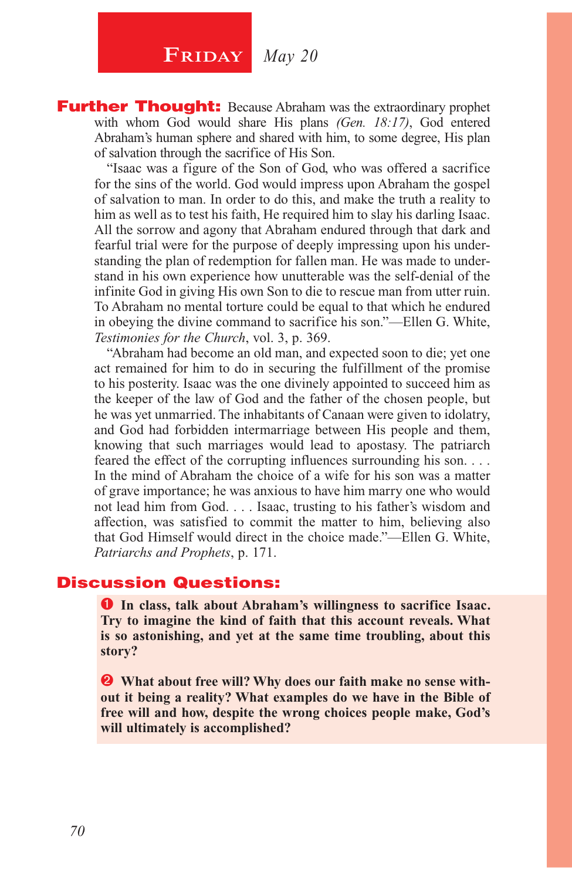**Further Thought:** Because Abraham was the extraordinary prophet with whom God would share His plans *(Gen. 18:17)*, God entered Abraham's human sphere and shared with him, to some degree, His plan of salvation through the sacrifice of His Son.

"Isaac was a figure of the Son of God, who was offered a sacrifice for the sins of the world. God would impress upon Abraham the gospel of salvation to man. In order to do this, and make the truth a reality to him as well as to test his faith, He required him to slay his darling Isaac. All the sorrow and agony that Abraham endured through that dark and fearful trial were for the purpose of deeply impressing upon his understanding the plan of redemption for fallen man. He was made to understand in his own experience how unutterable was the self-denial of the infinite God in giving His own Son to die to rescue man from utter ruin. To Abraham no mental torture could be equal to that which he endured in obeying the divine command to sacrifice his son."—Ellen G. White, *Testimonies for the Church*, vol. 3, p. 369.

"Abraham had become an old man, and expected soon to die; yet one act remained for him to do in securing the fulfillment of the promise to his posterity. Isaac was the one divinely appointed to succeed him as the keeper of the law of God and the father of the chosen people, but he was yet unmarried. The inhabitants of Canaan were given to idolatry, and God had forbidden intermarriage between His people and them, knowing that such marriages would lead to apostasy. The patriarch feared the effect of the corrupting influences surrounding his son. . . . In the mind of Abraham the choice of a wife for his son was a matter of grave importance; he was anxious to have him marry one who would not lead him from God. . . . Isaac, trusting to his father's wisdom and affection, was satisfied to commit the matter to him, believing also that God Himself would direct in the choice made."—Ellen G. White, *Patriarchs and Prophets*, p. 171.

#### Discussion Questions:

**O** In class, talk about Abraham's willingness to sacrifice Isaac. **Try to imagine the kind of faith that this account reveals. What is so astonishing, and yet at the same time troubling, about this story?** 

 **What about free will? Why does our faith make no sense without it being a reality? What examples do we have in the Bible of free will and how, despite the wrong choices people make, God's will ultimately is accomplished?**